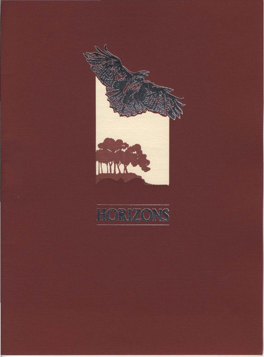

# HORIZONS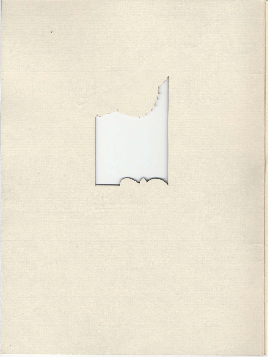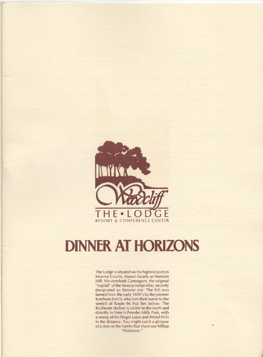

.,

## **DINNER AT HORIZONS**

The lodge is situated on the highest point in Monroe County, known locally as Horizon HilL We overlook Gannagaro, the original "capital" of the Seneca Indian tribe, recently designated an historic site. The hill was farmed from the early 1800's by the pioneer Ketchum family who lent their name to the stretch of Route 96 that lies below. The Rochester skyline is visible to the north and directly in front is Powder Mills Park, with a sweep of the Finger Lakes and Bristol Hills in the distance. You might catch a glimpse of a deer or the hawks that share our hilltop "Horizons. "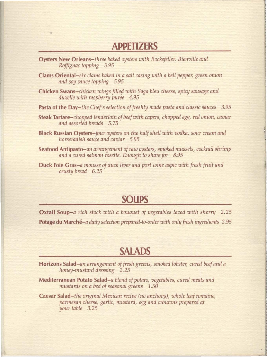#### **APPETIZERS**

- **Oysters New** *Orleans-three baked oysters with Rockefeller, Bienville and Roffignac topping 3.95*
- **Clams Oriental-six** *clams baked in a salt casing with a bell pepper, green onion and soy sauce topping 5.95*
- **Chicken Swans-chicken** *wings filled with Saga bleu cheese, spicy sausage and duxelle with raspberry puree 4.95*
- **Pasta of the Day-the Chef's selection of freshly made pasta and classic sauces** 3.95
- **Steak** *Tartare-chopped tenderloin of beef with capers, chopped egg, red onion, caviar and assorted breads* 5.75
- **Black Russian Oysters-four** *oysters on the half shell with vodka, sour cream and horseradish sauce and caviar 5.95*
- **Seafood Antipasto-an** *arrangement of raw oysters, smoked mussels, cocktail shrimp and a cured salmon rosette. Enough to share for 8.95*
- **Duck Foie Gras-a** *mousse of duck liver and port wine aspic with fresh fruit and crusty bread 6.25*

#### **SOUPS**

**Oxtail Soup-a** *rich stock with a bouquet of vegetables laced with sherry 2.25*  **Potage du Marche-a** *daily selection prepared-to-order with only fresh ingredients 2.95* 

#### **SALADS**

- **Horizons Salad-an** *arrangement of fresh greens, smoked lobster, cured beef and a honey-mustard dressing 2.25*
- **Mediterranean Potato Salad-a** *blend of potato, vegetables, cured meats and mustards on a bed of seasonal greens 1.50*
- **Caesar** *Salad-the original Mexican recipe (no anchauy), whole leaf romaine, parmesan cheese, garlic, mustard, egg and croutons prepared at your table* 3.25

**ISSUED:** 

**INTERNATIONAL PROPERTY International Concerning** • **if**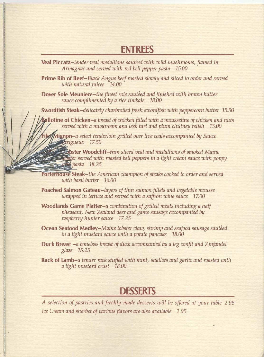### **ENTREES**

Veal *Piccata-tender veal medallions sauteed with wild mushrooms, flamed in Armagnac and served with red bell pepper pasta 15.00* 

Prime Rib of *Reef-Black Angus beef roasted slowly and sliced to order and served with natural juices 14.00* 

Dover Sole *Meuniere-the finest sole sauteed and finished with brown butter sauce complimented* by *a rice timbale 18.00* 

Swordfish *Steak-delicately charbroiled fresh swordfish with peppercorn butter 15.50* 

**Ballotine of Chicken-a** breast of chicken filled with a mousseline of chicken and nuts *served with a mushroom and leek tart and plum chutney relish 13.00* 

File Mignon-a select tenderloin grilled over live coals accompanied by Sauce **Perigueux** 17.50

**Exister Woodcliff-**thin sliced veal and medallions of smoked Maine *served with roasted bell peppers in a light cream sauce with poppy*  pasta 18.25

**Porterhouse Steak-the American champion of steaks cooked to order and served** *with basil butter 16.00* 

Poached Salmon Gateau-layers *of thin salmon fillets and vegetable mousse wrapped in lettuce and served with a saffron wine sauce 17.00* 

Woodlands Game Platter-a *combination of grilled meats including a half pheasant, New Zealand deer and game sausage accompanied* by *raspberry hunter sauce* 17. 25

Ocean Seafood Medley-Maine *lobster claw, shrimp and seafood sausage sauteed in a light mustard sauce with a potato pancake 18.00* 

Duck Rreast *-a boneless breast of duck accompanied* by *a leg confit and Zinfandel glaze 15.25* 

Rack of Lamb-a *tender rack stuffed with mint, shallots and garlic and roasted with a light mustard crust 18.00* 

#### **DESSERTS**

*A selection of pastries and freshly made desserts will be offered at your table 2.95 lee Cream and sherbet of various flavors are also available 1.95*